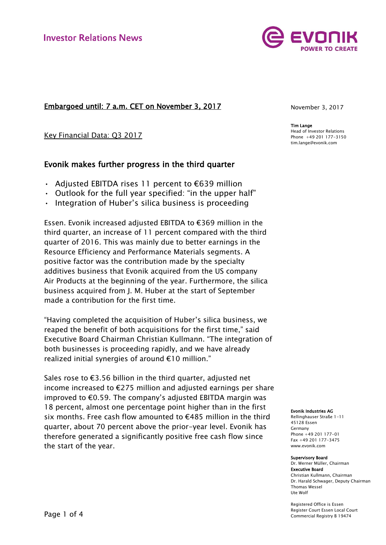# Embargoed until: 7 a.m. CET on November 3, 2017

Key Financial Data: Q3 2017

# Evonik makes further progress in the third quarter

- Adjusted EBITDA rises 11 percent to  $\epsilon$ 639 million
- Outlook for the full year specified: "in the upper half"
- Integration of Huber's silica business is proceeding

Essen. Evonik increased adjusted EBITDA to €369 million in the third quarter, an increase of 11 percent compared with the third quarter of 2016. This was mainly due to better earnings in the Resource Efficiency and Performance Materials segments. A positive factor was the contribution made by the specialty additives business that Evonik acquired from the US company Air Products at the beginning of the year. Furthermore, the silica business acquired from J. M. Huber at the start of September made a contribution for the first time.

"Having completed the acquisition of Huber's silica business, we reaped the benefit of both acquisitions for the first time," said Executive Board Chairman Christian Kullmann. "The integration of both businesses is proceeding rapidly, and we have already realized initial synergies of around €10 million."

Sales rose to €3.56 billion in the third quarter, adjusted net income increased to €275 million and adjusted earnings per share improved to  $\epsilon$ 0.59. The company's adjusted EBITDA margin was 18 percent, almost one percentage point higher than in the first six months. Free cash flow amounted to €485 million in the third quarter, about 70 percent above the prior-year level. Evonik has therefore generated a significantly positive free cash flow since the start of the year.



Tim Lange Head of Investor Relations Phone +49 201 177-3150 tim.lange@evonik.com

#### Evonik Industries AG

Rellinghauser Straße 1-11 45128 Essen Germany Phone +49 201 177-01 Fax +49 201 177-3475 www.evonik.com

#### Supervisory Board

Dr. Werner Müller, Chairman Executive Board Christian Kullmann, Chairman Dr. Harald Schwager, Deputy Chairman Thomas Wessel Ute Wolf

Registered Office is Essen Register Court Essen Local Court Commercial Registry B 19474

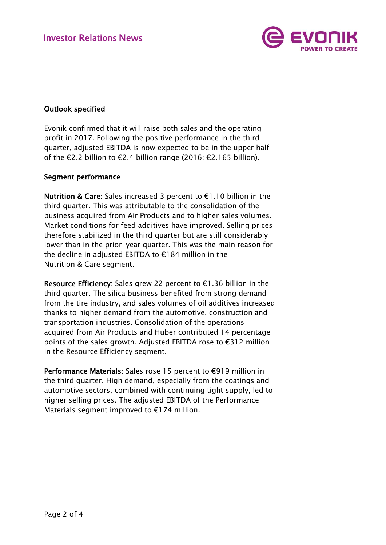

# Outlook specified

Evonik confirmed that it will raise both sales and the operating profit in 2017. Following the positive performance in the third quarter, adjusted EBITDA is now expected to be in the upper half of the €2.2 billion to €2.4 billion range (2016: €2.165 billion).

### Segment performance

Nutrition & Care: Sales increased 3 percent to €1.10 billion in the third quarter. This was attributable to the consolidation of the business acquired from Air Products and to higher sales volumes. Market conditions for feed additives have improved. Selling prices therefore stabilized in the third quarter but are still considerably lower than in the prior-year quarter. This was the main reason for the decline in adjusted EBITDA to €184 million in the Nutrition & Care segment.

Resource Efficiency: Sales grew 22 percent to €1.36 billion in the third quarter. The silica business benefited from strong demand from the tire industry, and sales volumes of oil additives increased thanks to higher demand from the automotive, construction and transportation industries. Consolidation of the operations acquired from Air Products and Huber contributed 14 percentage points of the sales growth. Adjusted EBITDA rose to €312 million in the Resource Efficiency segment.

Performance Materials: Sales rose 15 percent to €919 million in the third quarter. High demand, especially from the coatings and automotive sectors, combined with continuing tight supply, led to higher selling prices. The adjusted EBITDA of the Performance Materials segment improved to €174 million.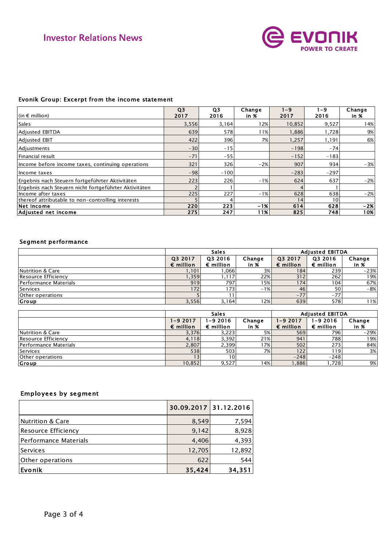

### Evonik Group: Excerpt from the income statement

| Evonik Group: Excerpt from the income statement       |                        |                        |                |                 |             |                   |
|-------------------------------------------------------|------------------------|------------------------|----------------|-----------------|-------------|-------------------|
| (in $\epsilon$ million)                               | Q <sub>3</sub><br>2017 | Q <sub>3</sub><br>2016 | Change<br>in % | $1 - 9$<br>2017 | 1-9<br>2016 | Change<br>in $\%$ |
| <b>Sales</b>                                          | 3,556                  | 3,164                  | 12%            | 10,852          | 9,527       | 14%               |
| <b>Adjusted EBITDA</b>                                | 639                    | 578                    | 11%            | 1,886           | 1,728       | 9%                |
| Adjusted EBIT                                         | 422                    | 396                    | 7%             | 1,257           | 1,191       | 6%                |
| Adjustments                                           | $-30$                  | $-15$                  |                | $-198$          | $-74$       |                   |
| Financial result                                      | $-71$                  | $-55$                  |                | $-152$          | $-183$      |                   |
| Income before income taxes, continuing operations     | 321                    | 326                    | $-2%$          | 907             | 934         | $-3%$             |
| Income taxes                                          | $-98$                  | $-100$                 |                | $-283$          | $-297$      |                   |
| Ergebnis nach Steuern fortgeführter Aktivitäten       | 223                    | 226                    | $-1%$          | 624             | 637         | $-2%$             |
| Ergebnis nach Steuern nicht fortgeführter Aktivitäten |                        |                        |                |                 |             |                   |
| Income after taxes                                    | 225                    | 227                    | $-1%$          | 628             | 638         | $-2%$             |
| thereof attributable to non-controlling interests     |                        |                        |                | 14              | 10          |                   |
| Net Income                                            | 220                    | 223                    | $-1%$          | 614             | 628         | $-2%$             |
| Adjusted net income                                   | 275                    | 247                    | 11%            | 825             | 748         | 10%               |

### Segment performance

|                             | <b>Sales</b>                  |                               |                     | <b>Adjusted EBITDA</b>        |                               |                |
|-----------------------------|-------------------------------|-------------------------------|---------------------|-------------------------------|-------------------------------|----------------|
|                             | Q3 2017<br>$\epsilon$ million | Q3 2016<br>$\epsilon$ million | Change<br>in $\chi$ | Q3 2017<br>$\epsilon$ million | Q3 2016<br>$\epsilon$ million | Change<br>in % |
| <b>Nutrition &amp; Care</b> | 1,101                         | ,066                          | 3%                  | 184                           | 239                           | $-23%$         |
| Resource Efficiency         | 1,359                         | ,117                          | 22%                 | 312                           | 262                           | 19%            |
| Performance Materials       | 919                           | 797                           | 15%                 | 174                           | 104                           | 67%            |
| Services                    | 172                           | 1731                          | $-1%$               | 46 <sub>1</sub>               | 50 <sub>1</sub>               | $-8%$          |
| Other operations            |                               |                               |                     | $-77$                         | $-77$                         |                |
| Group                       | 3,556                         | 3,164                         | 12%                 | 639                           | 578                           | 11%            |

|                       | <b>Sales</b>                      |                                |                   | <b>Adjusted EBITDA</b>         |                                   |                |
|-----------------------|-----------------------------------|--------------------------------|-------------------|--------------------------------|-----------------------------------|----------------|
|                       | $1 - 92017$<br>$\epsilon$ million | 1-9 2016<br>$\epsilon$ million | Change<br>in $\%$ | 1-9 2017<br>$\epsilon$ million | $1 - 92016$<br>$\epsilon$ million | Change<br>in % |
| Nutrition & Care      | 3,376                             | 3,223                          | 5%                | 569                            | 796                               | $-29%$         |
| Resource Efficiency   | 4,118                             | 3,392                          | 21%               | 941                            | 788                               | 19%            |
| Performance Materials | 2,807                             | 2,399                          | 7%                | 502                            | 273                               | 84%            |
| Services              | 538                               | 503                            | 7%                | 122                            | 1191                              | 3%             |
| Other operations      |                                   | 10 <sub>1</sub>                |                   | $-248$                         | $-248$                            |                |
| <b>Group</b>          | 10,852                            | 9,527                          | 14%               | ,886                           | ,728                              | 9%             |

## Employees by segment

|                        | 30.09.2017 31.12.2016 |        |
|------------------------|-----------------------|--------|
| Nutrition & Care       | 8,549                 | 7,594  |
| Resource Efficiency    | 9,142                 | 8,928  |
| lPerformance Materials | 4,406                 | 4,393  |
| l Services             | 12,705                | 12,892 |
| Other operations       | 622                   | 544    |
| Evonik                 | 35,424                | 34,351 |